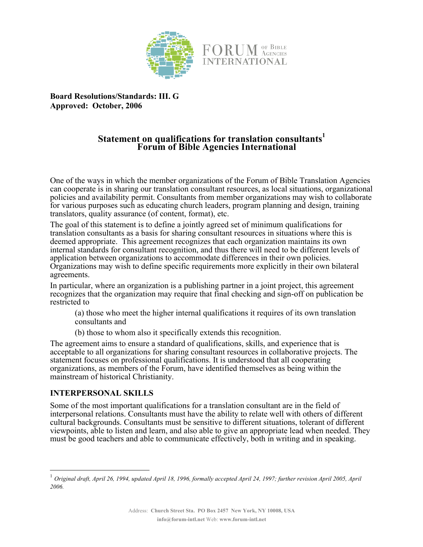

**Board Resolutions/Standards: III. G Approved: October, 2006** 

# **Statement on qualifications for translation consultants<sup>1</sup> Forum of Bible Agencies International**

One of the ways in which the member organizations of the Forum of Bible Translation Agencies can cooperate is in sharing our translation consultant resources, as local situations, organizational policies and availability permit. Consultants from member organizations may wish to collaborate for various purposes such as educating church leaders, program planning and design, training translators, quality assurance (of content, format), etc.

The goal of this statement is to define a jointly agreed set of minimum qualifications for translation consultants as a basis for sharing consultant resources in situations where this is deemed appropriate. This agreement recognizes that each organization maintains its own internal standards for consultant recognition, and thus there will need to be different levels of application between organizations to accommodate differences in their own policies. Organizations may wish to define specific requirements more explicitly in their own bilateral agreements.

In particular, where an organization is a publishing partner in a joint project, this agreement recognizes that the organization may require that final checking and sign-off on publication be restricted to

(a) those who meet the higher internal qualifications it requires of its own translation consultants and

(b) those to whom also it specifically extends this recognition.

The agreement aims to ensure a standard of qualifications, skills, and experience that is acceptable to all organizations for sharing consultant resources in collaborative projects. The statement focuses on professional qualifications. It is understood that all cooperating organizations, as members of the Forum, have identified themselves as being within the mainstream of historical Christianity.

# **INTERPERSONAL SKILLS**

 $\overline{a}$ 

Some of the most important qualifications for a translation consultant are in the field of interpersonal relations. Consultants must have the ability to relate well with others of different cultural backgrounds. Consultants must be sensitive to different situations, tolerant of different viewpoints, able to listen and learn, and also able to give an appropriate lead when needed. They must be good teachers and able to communicate effectively, both in writing and in speaking.

<sup>1</sup> *Original draft, April 26, 1994, updated April 18, 1996, formally accepted April 24, 1997; further revision April 2005, April 2006.*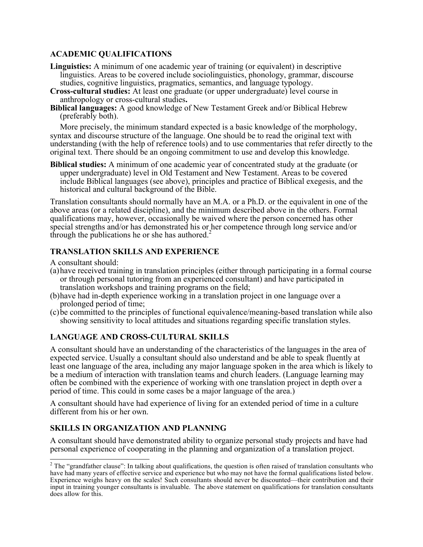# **ACADEMIC QUALIFICATIONS**

- **Linguistics:** A minimum of one academic year of training (or equivalent) in descriptive linguistics. Areas to be covered include sociolinguistics, phonology, grammar, discourse studies, cognitive linguistics, pragmatics, semantics, and language typology.
- **Cross-cultural studies:** At least one graduate (or upper undergraduate) level course in anthropology or cross-cultural studies**.**
- **Biblical languages:** A good knowledge of New Testament Greek and/or Biblical Hebrew (preferably both).

 More precisely, the minimum standard expected is a basic knowledge of the morphology, syntax and discourse structure of the language. One should be to read the original text with understanding (with the help of reference tools) and to use commentaries that refer directly to the original text. There should be an ongoing commitment to use and develop this knowledge.

**Biblical studies:** A minimum of one academic year of concentrated study at the graduate (or upper undergraduate) level in Old Testament and New Testament. Areas to be covered include Biblical languages (see above), principles and practice of Biblical exegesis, and the historical and cultural background of the Bible.

Translation consultants should normally have an M.A. or a Ph.D. or the equivalent in one of the above areas (or a related discipline), and the minimum described above in the others. Formal qualifications may, however, occasionally be waived where the person concerned has other special strengths and/or has demonstrated his or her competence through long service and/or through the publications he or she has authored. $2^2$ 

# **TRANSLATION SKILLS AND EXPERIENCE**

A consultant should:

- (a) have received training in translation principles (either through participating in a formal course or through personal tutoring from an experienced consultant) and have participated in translation workshops and training programs on the field;
- (b) have had in-depth experience working in a translation project in one language over a prolonged period of time;
- (c) be committed to the principles of functional equivalence/meaning-based translation while also showing sensitivity to local attitudes and situations regarding specific translation styles.

# **LANGUAGE AND CROSS-CULTURAL SKILLS**

A consultant should have an understanding of the characteristics of the languages in the area of expected service. Usually a consultant should also understand and be able to speak fluently at least one language of the area, including any major language spoken in the area which is likely to be a medium of interaction with translation teams and church leaders. (Language learning may often be combined with the experience of working with one translation project in depth over a period of time. This could in some cases be a major language of the area.)

A consultant should have had experience of living for an extended period of time in a culture different from his or her own.

# **SKILLS IN ORGANIZATION AND PLANNING**

A consultant should have demonstrated ability to organize personal study projects and have had personal experience of cooperating in the planning and organization of a translation project.

<sup>&</sup>lt;sup>2</sup> The "grandfather clause": In talking about qualifications, the question is often raised of translation consultants who have had many years of effective service and experience but who may not have the formal qualifications listed below. Experience weighs heavy on the scales! Such consultants should never be discounted—their contribution and their input in training younger consultants is invaluable. The above statement on qualifications for translation consultants does allow for this.